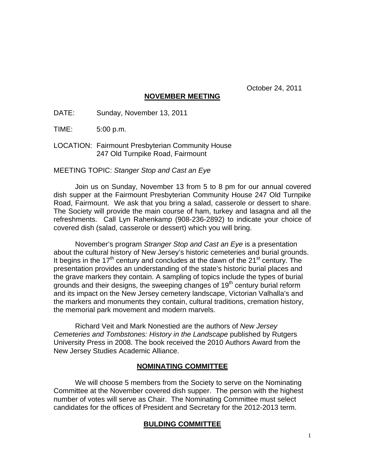October 24, 2011

## **NOVEMBER MEETING**

DATE: Sunday, November 13, 2011

TIME: 5:00 p.m.

LOCATION: Fairmount Presbyterian Community House 247 Old Turnpike Road, Fairmount

## MEETING TOPIC: *Stanger Stop and Cast an Eye*

Join us on Sunday, November 13 from 5 to 8 pm for our annual covered dish supper at the Fairmount Presbyterian Community House 247 Old Turnpike Road, Fairmount. We ask that you bring a salad, casserole or dessert to share. The Society will provide the main course of ham, turkey and lasagna and all the refreshments. Call Lyn Rahenkamp (908-236-2892) to indicate your choice of covered dish (salad, casserole or dessert) which you will bring.

November's program *Stranger Stop and Cast an Eye* is a presentation about the cultural history of New Jersey's historic cemeteries and burial grounds. It begins in the 17<sup>th</sup> century and concludes at the dawn of the 21<sup>st</sup> century. The presentation provides an understanding of the state's historic burial places and the grave markers they contain. A sampling of topics include the types of burial grounds and their designs, the sweeping changes of  $19<sup>th</sup>$  century burial reform and its impact on the New Jersey cemetery landscape, Victorian Valhalla's and the markers and monuments they contain, cultural traditions, cremation history, the memorial park movement and modern marvels.

Richard Veit and Mark Nonestied are the authors of *New Jersey Cemeteries and Tombstones: History in the Landscape* published by Rutgers University Press in 2008. The book received the 2010 Authors Award from the New Jersey Studies Academic Alliance.

# **NOMINATING COMMITTEE**

We will choose 5 members from the Society to serve on the Nominating Committee at the November covered dish supper. The person with the highest number of votes will serve as Chair. The Nominating Committee must select candidates for the offices of President and Secretary for the 2012-2013 term.

# **BULDING COMMITTEE**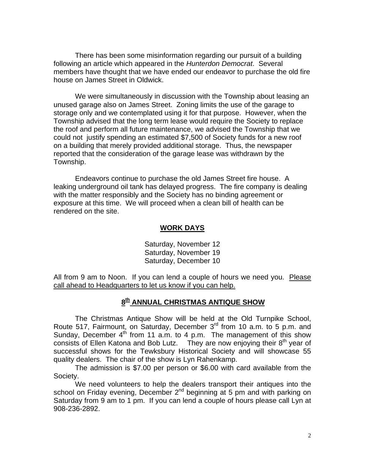There has been some misinformation regarding our pursuit of a building following an article which appeared in the *Hunterdon Democrat*. Several members have thought that we have ended our endeavor to purchase the old fire house on James Street in Oldwick.

We were simultaneously in discussion with the Township about leasing an unused garage also on James Street. Zoning limits the use of the garage to storage only and we contemplated using it for that purpose. However, when the Township advised that the long term lease would require the Society to replace the roof and perform all future maintenance, we advised the Township that we could not justify spending an estimated \$7,500 of Society funds for a new roof on a building that merely provided additional storage. Thus, the newspaper reported that the consideration of the garage lease was withdrawn by the Township.

Endeavors continue to purchase the old James Street fire house. A leaking underground oil tank has delayed progress. The fire company is dealing with the matter responsibly and the Society has no binding agreement or exposure at this time. We will proceed when a clean bill of health can be rendered on the site.

## **WORK DAYS**

Saturday, November 12 Saturday, November 19 Saturday, December 10

All from 9 am to Noon. If you can lend a couple of hours we need you. Please call ahead to Headquarters to let us know if you can help.

# **8th ANNUAL CHRISTMAS ANTIQUE SHOW**

The Christmas Antique Show will be held at the Old Turnpike School, Route 517, Fairmount, on Saturday, December 3rd from 10 a.m. to 5 p.m. and Sunday, December  $4<sup>th</sup>$  from 11 a.m. to 4 p.m. The management of this show consists of Ellen Katona and Bob Lutz. They are now enjoying their  $8<sup>th</sup>$  year of successful shows for the Tewksbury Historical Society and will showcase 55 quality dealers. The chair of the show is Lyn Rahenkamp.

The admission is \$7.00 per person or \$6.00 with card available from the Society.

We need volunteers to help the dealers transport their antiques into the school on Friday evening, December 2<sup>nd</sup> beginning at 5 pm and with parking on Saturday from 9 am to 1 pm. If you can lend a couple of hours please call Lyn at 908-236-2892.